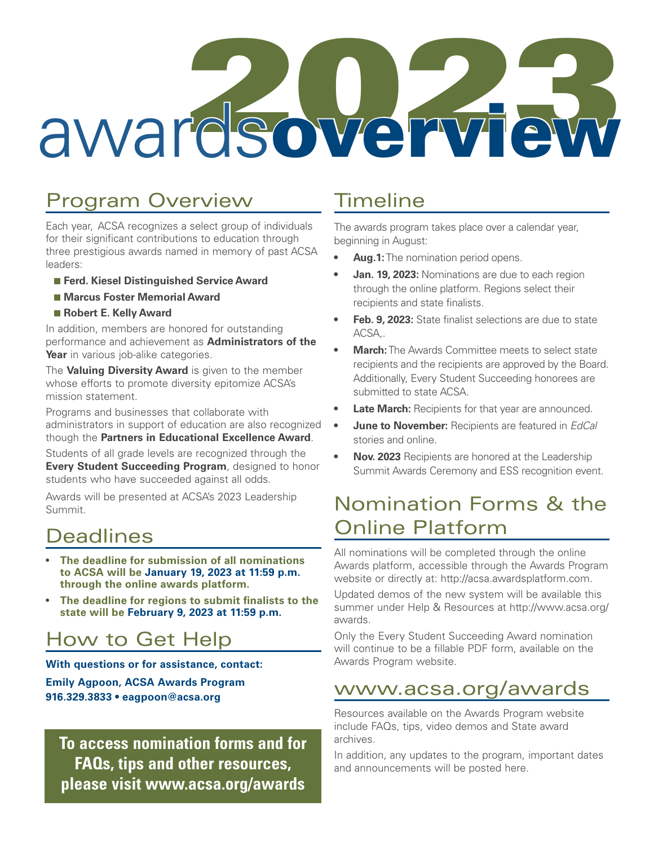# awardsowerview

## Program Overview

Each year, ACSA recognizes a select group of individuals for their significant contributions to education through three prestigious awards named in memory of past ACSA leaders:

- **Ferd. Kiesel Distinguished Service Award**
- **Marcus Foster Memorial Award**
- **Robert E. Kelly Award**

In addition, members are honored for outstanding performance and achievement as **Administrators of the Year** in various job-alike categories.

The **Valuing Diversity Award** is given to the member whose efforts to promote diversity epitomize ACSA's mission statement.

Programs and businesses that collaborate with administrators in support of education are also recognized though the **Partners in Educational Excellence Award**.

Students of all grade levels are recognized through the **Every Student Succeeding Program**, designed to honor students who have succeeded against all odds.

Awards will be presented at ACSA's 2023 Leadership Summit.

#### **Deadlines**

- **The deadline for submission of all nominations to ACSA will be January 19, 2023 at 11:59 p.m. through the online awards platform.**
- **The deadline for regions to submit finalists to the state will be February 9, 2023 at 11:59 p.m.**

### How to Get Help

**With questions or for assistance, contact: Emily Agpoon, ACSA Awards Program 916.329.3833 • eagpoon@acsa.org**

**To access nomination forms and for FAQs, tips and other resources, please visit www.acsa.org/awards**

#### **Timeline**

The awards program takes place over a calendar year, beginning in August:

- **• Aug.1:** The nomination period opens.
- **Jan. 19, 2023: Nominations are due to each region** through the online platform. Regions select their recipients and state finalists.
- **• Feb. 9, 2023:** State finalist selections are due to state ACSA,.
- **• March:** The Awards Committee meets to select state recipients and the recipients are approved by the Board. Additionally, Every Student Succeeding honorees are submitted to state ACSA.
- **Late March:** Recipients for that year are announced.
- **• June to November:** Recipients are featured in *EdCal* stories and online.
- **• Nov. 2023** Recipients are honored at the Leadership Summit Awards Ceremony and ESS recognition event.

#### Nomination Forms & the Online Platform

All nominations will be completed through the online Awards platform, accessible through the Awards Program website or directly at: http://acsa.awardsplatform.com.

Updated demos of the new system will be available this summer under Help & Resources at http://www.acsa.org/ awards.

Only the Every Student Succeeding Award nomination will continue to be a fillable PDF form, available on the Awards Program website.

#### www.acsa.org/awards

Resources available on the Awards Program website include FAQs, tips, video demos and State award archives.

In addition, any updates to the program, important dates and announcements will be posted here.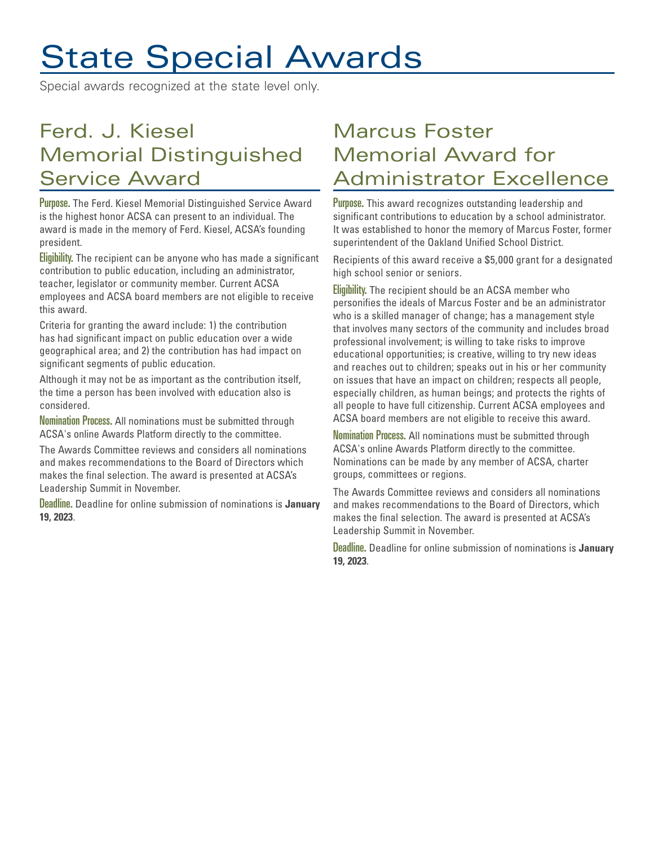# State Special Awards

Special awards recognized at the state level only.

## Ferd. J. Kiesel Memorial Distinguished Service Award

Purpose. The Ferd. Kiesel Memorial Distinguished Service Award is the highest honor ACSA can present to an individual. The award is made in the memory of Ferd. Kiesel, ACSA's founding president.

Eligibility. The recipient can be anyone who has made a significant contribution to public education, including an administrator, teacher, legislator or community member. Current ACSA employees and ACSA board members are not eligible to receive this award.

Criteria for granting the award include: 1) the contribution has had significant impact on public education over a wide geographical area; and 2) the contribution has had impact on significant segments of public education.

Although it may not be as important as the contribution itself, the time a person has been involved with education also is considered.

Nomination Process. All nominations must be submitted through ACSA's online Awards Platform directly to the committee.

The Awards Committee reviews and considers all nominations and makes recommendations to the Board of Directors which makes the final selection. The award is presented at ACSA's Leadership Summit in November.

Deadline. Deadline for online submission of nominations is **January 19, 2023**.

# Marcus Foster Memorial Award for Administrator Excellence

Purpose. This award recognizes outstanding leadership and significant contributions to education by a school administrator. It was established to honor the memory of Marcus Foster, former superintendent of the Oakland Unified School District.

Recipients of this award receive a \$5,000 grant for a designated high school senior or seniors.

Eligibility. The recipient should be an ACSA member who personifies the ideals of Marcus Foster and be an administrator who is a skilled manager of change; has a management style that involves many sectors of the community and includes broad professional involvement; is willing to take risks to improve educational opportunities; is creative, willing to try new ideas and reaches out to children; speaks out in his or her community on issues that have an impact on children; respects all people, especially children, as human beings; and protects the rights of all people to have full citizenship. Current ACSA employees and ACSA board members are not eligible to receive this award.

Nomination Process. All nominations must be submitted through ACSA's online Awards Platform directly to the committee. Nominations can be made by any member of ACSA, charter groups, committees or regions.

The Awards Committee reviews and considers all nominations and makes recommendations to the Board of Directors, which makes the final selection. The award is presented at ACSA's Leadership Summit in November.

Deadline. Deadline for online submission of nominations is **January 19, 2023**.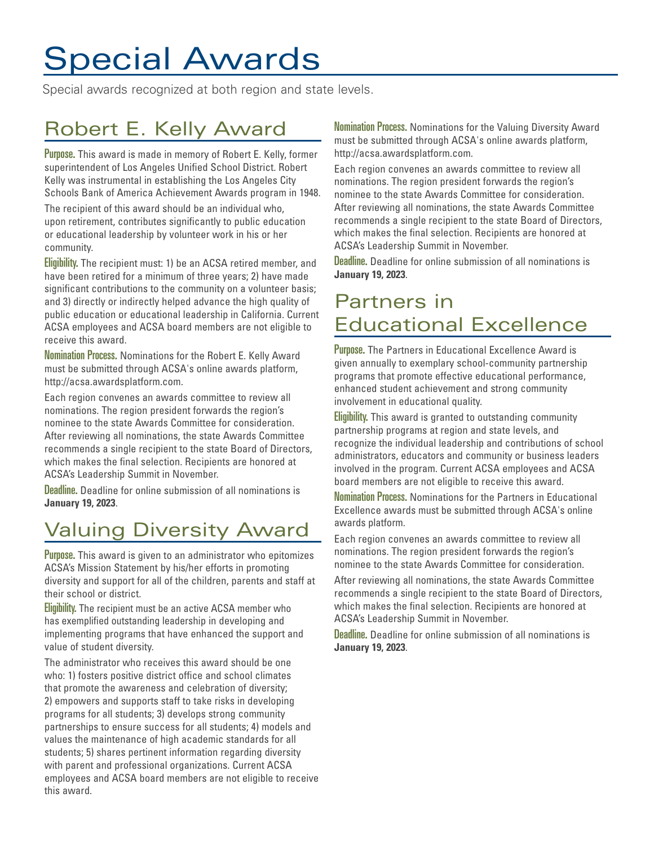# Special Awards

Special awards recognized at both region and state levels.

# Robert E. Kelly Award

Purpose. This award is made in memory of Robert E. Kelly, former superintendent of Los Angeles Unified School District. Robert Kelly was instrumental in establishing the Los Angeles City Schools Bank of America Achievement Awards program in 1948.

The recipient of this award should be an individual who, upon retirement, contributes significantly to public education or educational leadership by volunteer work in his or her community.

Eligibility. The recipient must: 1) be an ACSA retired member, and have been retired for a minimum of three years; 2) have made significant contributions to the community on a volunteer basis; and 3) directly or indirectly helped advance the high quality of public education or educational leadership in California. Current ACSA employees and ACSA board members are not eligible to receive this award.

Nomination Process. Nominations for the Robert E. Kelly Award must be submitted through ACSA's online awards platform, http://acsa.awardsplatform.com.

Each region convenes an awards committee to review all nominations. The region president forwards the region's nominee to the state Awards Committee for consideration. After reviewing all nominations, the state Awards Committee recommends a single recipient to the state Board of Directors, which makes the final selection. Recipients are honored at ACSA's Leadership Summit in November.

Deadline. Deadline for online submission of all nominations is **January 19, 2023**.

# Valuing Diversity Award

Purpose. This award is given to an administrator who epitomizes ACSA's Mission Statement by his/her efforts in promoting diversity and support for all of the children, parents and staff at their school or district.

Eligibility. The recipient must be an active ACSA member who has exemplified outstanding leadership in developing and implementing programs that have enhanced the support and value of student diversity.

The administrator who receives this award should be one who: 1) fosters positive district office and school climates that promote the awareness and celebration of diversity; 2) empowers and supports staff to take risks in developing programs for all students; 3) develops strong community partnerships to ensure success for all students; 4) models and values the maintenance of high academic standards for all students; 5) shares pertinent information regarding diversity with parent and professional organizations. Current ACSA employees and ACSA board members are not eligible to receive this award.

Nomination Process. Nominations for the Valuing Diversity Award must be submitted through ACSA's online awards platform, http://acsa.awardsplatform.com.

Each region convenes an awards committee to review all nominations. The region president forwards the region's nominee to the state Awards Committee for consideration. After reviewing all nominations, the state Awards Committee recommends a single recipient to the state Board of Directors, which makes the final selection. Recipients are honored at ACSA's Leadership Summit in November.

Deadline. Deadline for online submission of all nominations is **January 19, 2023**.

### Partners in Educational Excellence

Purpose. The Partners in Educational Excellence Award is given annually to exemplary school-community partnership programs that promote effective educational performance, enhanced student achievement and strong community involvement in educational quality.

Eligibility. This award is granted to outstanding community partnership programs at region and state levels, and recognize the individual leadership and contributions of school administrators, educators and community or business leaders involved in the program. Current ACSA employees and ACSA board members are not eligible to receive this award.

Nomination Process. Nominations for the Partners in Educational Excellence awards must be submitted through ACSA's online awards platform.

Each region convenes an awards committee to review all nominations. The region president forwards the region's nominee to the state Awards Committee for consideration.

After reviewing all nominations, the state Awards Committee recommends a single recipient to the state Board of Directors, which makes the final selection. Recipients are honored at ACSA's Leadership Summit in November.

Deadline. Deadline for online submission of all nominations is **January 19, 2023**.